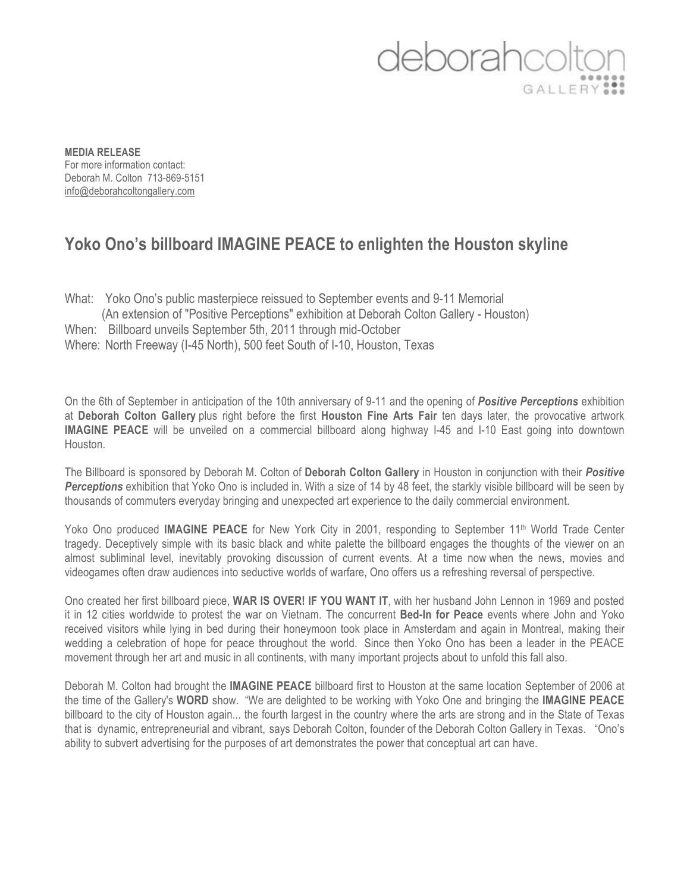## deboraho GALLERY<sup>22</sup>

**MEDIA RELEASE** For more information contact: Deborah M. Colton 713-869-5151 info@deborahcoltongallery.com

## **Yoko Ono's billboard IMAGINE PEACE to enlighten the Houston skyline**

What: Yoko Ono's public masterpiece reissued to September events and 9-11 Memorial (An extension of "Positive Perceptions" exhibition at Deborah Colton Gallery - Houston) When: Billboard unveils September 5th, 2011 through mid-October Where: North Freeway (I-45 North), 500 feet South of I-10, Houston, Texas

On the 6th of September in anticipation of the 10th anniversary of 9-11 and the opening of *Positive Perceptions* exhibition at **Deborah Colton Gallery** plus right before the first **Houston Fine Arts Fair** ten days later, the provocative artwork **IMAGINE PEACE** will be unveiled on a commercial billboard along highway I-45 and I-10 East going into downtown Houston.

The Billboard is sponsored by Deborah M. Colton of **Deborah Colton Gallery** in Houston in conjunction with their *Positive Perceptions* exhibition that Yoko Ono is included in. With a size of 14 by 48 feet, the starkly visible billboard will be seen by thousands of commuters everyday bringing and unexpected art experience to the daily commercial environment.

Yoko Ono produced **IMAGINE PEACE** for New York City in 2001, responding to September 11<sup>th</sup> World Trade Center tragedy. Deceptively simple with its basic black and white palette the billboard engages the thoughts of the viewer on an almost subliminal level, inevitably provoking discussion of current events. At a time now when the news, movies and videogames often draw audiences into seductive worlds of warfare, Ono offers us a refreshing reversal of perspective.

Ono created her first billboard piece, **WAR IS OVER! IF YOU WANT IT**, with her husband John Lennon in 1969 and posted it in 12 cities worldwide to protest the war on Vietnam. The concurrent **Bed-In for Peace** events where John and Yoko received visitors while lying in bed during their honeymoon took place in Amsterdam and again in Montreal, making their wedding a celebration of hope for peace throughout the world. Since then Yoko Ono has been a leader in the PEACE movement through her art and music in all continents, with many important projects about to unfold this fall also.

Deborah M. Colton had brought the **IMAGINE PEACE** billboard first to Houston at the same location September of 2006 at the time of the Gallery's **WORD** show. "We are delighted to be working with Yoko One and bringing the **IMAGINE PEACE** billboard to the city of Houston again... the fourth largest in the country where the arts are strong and in the State of Texas that is dynamic, entrepreneurial and vibrant, says Deborah Colton, founder of the Deborah Colton Gallery in Texas. "Ono's ability to subvert advertising for the purposes of art demonstrates the power that conceptual art can have.